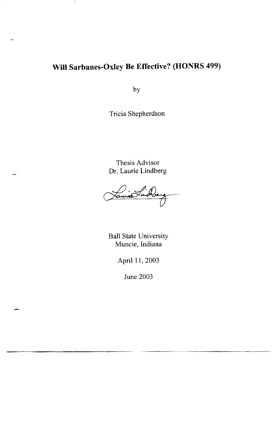## **Will Sarbanes-Oxley Be Effective? (HONRS 499)**

J.

by

Tricia Shepherdson

Thesis Advisor Dr. Laurie Lindberg

Ball State University Muncie, Indiana

April **11,** 2003

June 2003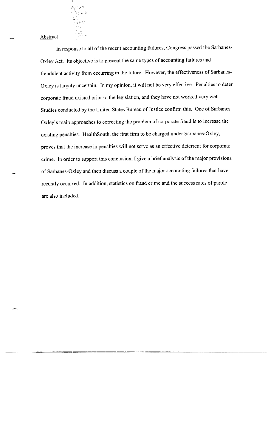$\frac{\mathcal{L} \rho(\mathcal{L} e^{H}}{\mathcal{L} \rho \mathcal{L} \rho^{2}}$ Lis<br>Papel  $\sim \frac{1}{\omega}$ 

**Abstract** 

**In** response to all of the recent accounting failures, Congress passed the Sarbanes-Oxley Act. Its objective is to prevent the same types of accounting failures and fraudulent activity from occurring in the future. However, the effectiveness of Sarbanes-Oxley is largely uncertain. In my opinion, it will not be very effective. Penalties to deter corporate fraud existed prior to the legislation, and they have not worked very well. Studies conducted by the United States Bureau of Justice confirm this. One of Sarbanes-Oxley's main approaches to correcting the problem of corporate fraud is to increase the existing penalties. HealthSouth, the first firm to be charged under Sarbanes-Oxley, proves that the increase in penalties will not serve as an effective deterrent for corporate crime. **In** order to support this conclusion, I give a brief analysis of the major provisions of Sarbanes-Oxley and then discuss a couple of the major accounting failures that have recently occurred. **In** addition, statistics on fraud crime and the success rates of parole are also included.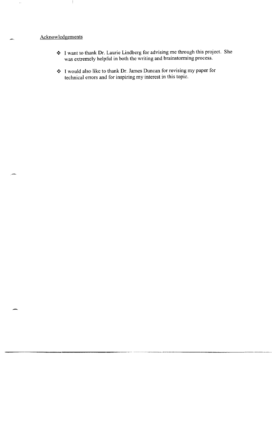## Acknowledgements

 $\ddot{\phantom{a}}$ 

- **.:.** I want to thank Dr. Laurie Lindberg for advising me through this project. She was extremely helpful in both the writing and brainstorming process.
- ◆ I would also like to thank Dr. James Duncan for revising my paper for technical errors and for inspiring my interest in this topic.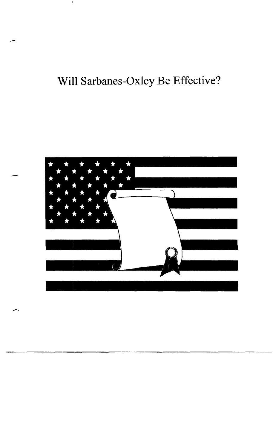## **Will Sarbanes-Oxley Be Effective?**



--

 $\overline{\phantom{0}}$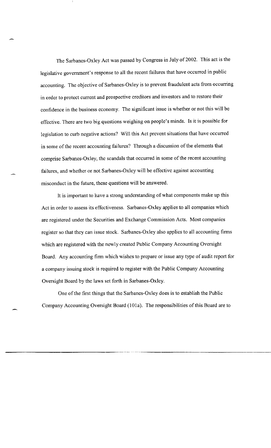The Sarbanes-Oxley Act was passed by Congress in July of 2002. This act is the legislative government's response to all the recent failures that have occurred in public accounting. The objective of Sarbanes-Oxley is to prevent fraudulent acts from occurring in order to protect current and prospective creditors and investors and to restore their confidence in the business economy. The significant issue is whether or not this will be effective. There are two big questions weighing on people's minds. [s it is possible for legislation to curb negative actions? Will this Act prevent situations that have occurred in some of the recent accounting failures? Through a discussion of the elements that comprise Sarbanes-Oxley, the scandals that occurred in some of the recent accounting failures, and whether or not Sarbanes-Oxley will be effective against accounting misconduct in the future, these questions will be answered.

It is important to have a strong understanding of what components make up this Act in order to assess its effectiveness. Sarbanes-Oxley applies to all companies which are registered under the Securities and Exchange Commission Acts. Most companies register so that they can issue stock. Sarbanes-Oxley also applies to all accounting firms which are registered with the newly created Public Company Accounting Oversight Board. Any accounting firm which wishes to prepare or issue any type of audit report for a company issuing stock is required to register with the Public Company Accounting Oversight Board by the laws set forth in Sarbanes-Oxley.

One of the first things that the Sarbanes-Oxley does is to establish the Public Company Accounting Oversight Board (101a). The responsibilities of this Board are to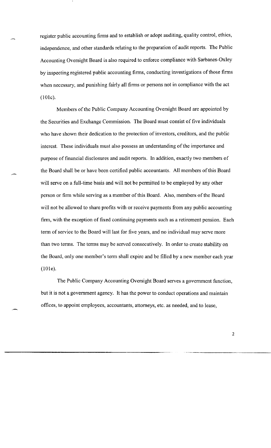register public accounting firms and to establish or adopt auditing, quality control, ethics, independence, and other standards relating to the preparation of audit reports. The Public Accounting Oversight Board is also required to enforce compliance with Sarbanes-Oxley by inspecting registered public accounting firms, conducting investigations of those firms when necessary, and punishing fairly all firms or persons not in compliance with the act (lOle).

Members of the Public Company Accounting Oversight Board are appointed by the Securities and Exchange Commission. The Board must consist of five individuals who have shown their dedication to the protection of investors, creditors, and the public interest. These individuals must also possess an understanding of the importance and purpose of financial disclosures and audit reports. In addition, exactly two members of the Board shall be or have been certified public accountants. All members of this Board will serve on a full-time basis and will not be permitted to be employed by any other person or firm while serving as a member of this Board. Also, members of the Board will not be allowed to share profits with or receive payments from any public accounting firm, with the exception of fixed continuing payments such as a retirement pension. Each term of service to the Board will last for five years, and no individual may serve more than two terms. The terms may be served consecutively. In order to create stability on the Board, only one member's term shall expire and be filled by a new member each year (lOle).

The Public Company Accounting Oversight Board serves a government function, but it is not a government agency. It has the power to conduct operations and maintain offices, to appoint employees, accountants, attorneys, etc. as needed, and to lease,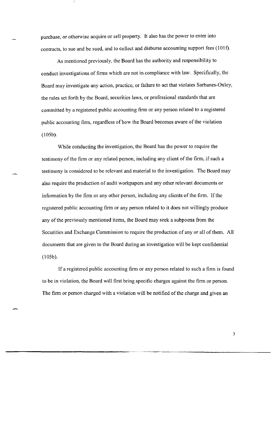purchase, or otherwise acquire or sell property. It also has the power to enter into contracts, to sue and be sued, and to collect and disburse accounting support fees (101f).

As mentioned previously, the Board has the authority and responsibility to conduct investigations of firms which are not in compliance with law. Specifically, the Board may investigate any action, practice, or failure to act that violates Sarbanes-Oxley, the rules set forth by the Board, securities laws, or professional standards that are committed by a registered public accounting firm or any person related to a registered public accounting firm, regardless of how the Board becomes aware of the violation (I05b).

While conducting the investigation, the Board has the power to require the testimony of the firm or any related person, including any client of the firm, if such a testimony is considered to be relevant and material to the investigation. The Board may also require the production of audit workpapers and any other relevant documents or information by the firm or any other person, including any clients of the firm. If the registered public accounting firm or any person related to it does not willingly produce any of the previously mentioned items, the Board may seek a subpoena from the Securities and Exchange Commission to require the production of any or all of them. All documents that are given to the Board during an investigation will be kept confidential (I05b).

If a registered public accounting firm or any person related to such a firm is found to be in violation, the Board will first bring specific charges against the firm or person. The firm or person charged with a violation will be notified of the charge and given an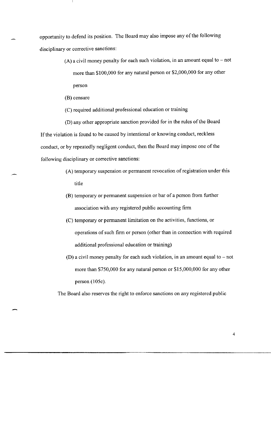opportunity to defend its position. The Board may also impose any of the following disciplinary or corrective sanctions:

- $(A)$  a civil money penalty for each such violation, in an amount equal to not more than \$100,000 for any natural person or \$2,000,000 for any other person
- (B) censure
- (C) required additional professional education or training

(D) any other appropriate sanction provided for in the rules of the Board If the violation is found to be caused by intentional or knowing conduct, reckless conduct, or by repeatedly negligent conduct, then the Board may impose one of the following disciplinary or corrective sanctions:

- (A) temporary suspension or permanent revocation of registration under this title
- (B) temporary or permanent suspension or bar of a person from further association with any registered public accounting firm
- (C) temporary or permanent limitation on the activities, functions, or operations of such firm or person (other than in connection with required additional professional education or training)
- (D) a civil money penalty for each such violation, in an amount equal to  $-$  not more than \$750,000 for any natural person or \$15,000,000 for any other person (105c).

The Board also reserves the right to enforce sanctions on any registered public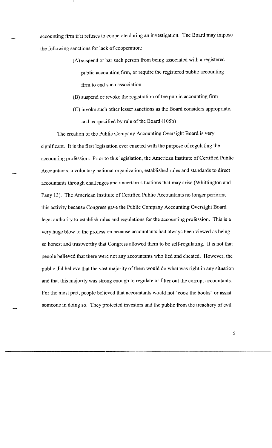accounting finn if it refuses to cooperate during an investigation. The Board may impose the following sanctions for lack of cooperation:

- (A) suspend or bar such person from being associated with a registered public accounting firm, or require the registered public accounting firm to end such association
- (B) suspend or revoke the registration of the public accounting finn
- (C) invoke such other lesser sanctions as the Board considers appropriate, and as specified by rule of the Board (105b)

The creation of the Public Company Accounting Oversight Board is very significant. It is the first legislation ever enacted with the purpose of regulating the accounting profession. Prior to this legislation, the American Institute of Certified Public Accountants, a voluntary national organization, established rules and standards to direct accountants through challenges and uncertain situations that may arise (Whittington and Pany 13). The American Institute of Certified Public Accountants no longer performs this activity because Congress gave the Public Company Accounting Oversight Board legal authority to establish rules and regulations for the accounting profession. This is a very huge blow to the profession because accountants had always been viewed as being so honest and trustworthy that Congress allowed them to be self-regulating. It is not that people believed that there were not any accountants who lied and cheated. However, the public did believe that the vast majority of them would do what was right in any situation and that this majority was strong enough to regulate or filter out the corrupt accountants. For the most part, people believed that accountants would not "cook the books" or assist someone in doing so. They protected investors and the public from the treachery of evil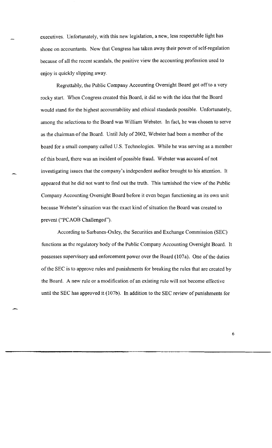executives. Unfortunately, with this new legislation, a new, less respectable light has shone on accountants. Now that Congress has taken away their power of self-regulation because of all the recent scandals, the positive view the accounting profession used to enjoy is quickly slipping away.

Regrettably, the Public Company Accounting Oversight Board got off to a very rocky start. When Congress created this Board, it did so with the idea that the Board would stand for the highest accountability and ethical standards possible. Unfortunately, among the selections to the Board was William Webster. In fact, he was chosen to serve as the chairman of the Board. Until July of 2002, Webster had been a member of the board for a small company called U.S. Technologies. While he was serving as a member of this board, there was an incident of possible fraud. Webster was accused of not investigating issues that the company's independent auditor brought to his attention. It appeared that he did not want to find out the truth. This tarnished the view of the Public Company Accounting Oversight Board before it even began functioning as its own unit because Webster's situation was the exact kind of situation the Board was created to prevent ("PCAOB Challenged").

According to Sarbanes-Oxley, the Securities and Exchange Commission (SEC) functions as the regulatory body of the Public Company Accounting Oversight Board. It possesses supervisory and enforcement power over the Board (107a). One of the duties of the SEC is to approve rules and punishments for breaking the rules that are created by the Board. A new rule or a modification of an existing rule will not become effective until the SEC has approved it  $(107b)$ . In addition to the SEC review of punishments for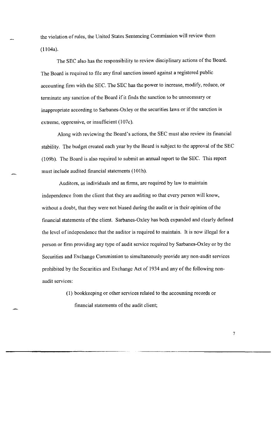the violation of rules, the United States Sentencing Commission will review them (Il04a).

The SEC also has the responsibility to review disciplinary actions of the Board. The Board is required to file any final sanction issued against a registered public accounting firm with the SEC. The SEC has the power to increase, modify, reduce, or terminate any sanction of the Board if it finds the sanction to be unnecessary or inappropriate according to Sarbanes-Oxley or the securities laws or if the sanction is extreme, oppressive, or insufficient (107c).

Along with reviewing the Board's actions, the SEC must also review its financial stability. The budget created each year by the Board is subject to the approval of the SEC (I 09b). The Board is also required to submit an annual report to the SEC. This report must include audited financial statements (IOlh).

Auditors, as individuals and as firms, are required by law to maintain independence from the client that they are auditing so that every person will know, without a doubt, that they were not biased during the audit or in their opinion of the financial statements of the client. Sarbanes-Oxley has both expanded and clearly defined the level of independence that the auditor is required to maintain. It is now illegal for a person or firm providing any type of audit service required by Sarbanes-Oxley or by the Securities and Exchange Commission to simultaneously provide any non-audit services prohibited by the Securities and Exchange Act of 1934 and any of the following nonaudit services:

> (I) bookkeeping or other services related to the accounting records or financial statements of the audit client;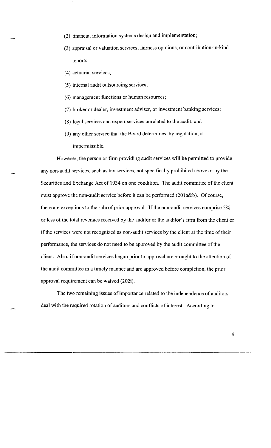- (2) financial information systems design and implementation;
- (3) appraisal or valuation services, fairness opinions, or contribution-in-kind reports;
- (4) actuarial services;
- (5) internal audit outsourcing services;
- (6) management functions or human resources;
- (7) broker or dealer, investment adviser, or investment banking services;
- (8) legal services and expert services unrelated to the audit; and
- (9) any other service that the Board detennines, by regulation, is impermissible.

However, the person or firm providing audit services will be permitted to provide any non-audit services, such as tax services, not specifically prohibited above or by the Securities and Exchange Act of 1934 on one condition. The audit committee of the client must approve the non-audit service before it can be performed (201 a&b). Of course, there are exceptions to the rule of prior approval. If the non-audit services comprise 5% or less of the total revenues received by the auditor or the auditor's finn from the client or if the services were not recognized as non-audit services by the client at the time of their perfonnance, the services do not need to be approved by the audit committee of the client. Also, if non-audit services begun prior to approval are brought to the attention of the audit committee in a timely manner and are approved before completion, the prior approval requirement can be waived (202i).

The two remaining issues of importance related to the independence of auditors deal with the required rotation of auditors and conflicts of interest. According to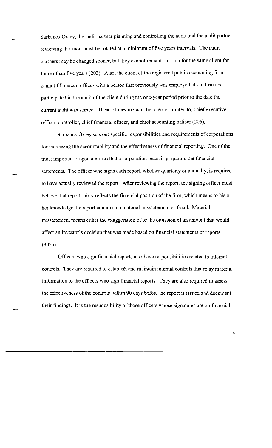Sarbanes-Oxley, the audit partner planning and controlling the audit and the audit partner reviewing the audit must be rotated at a minimum of five years intervals. The audit partners may be changed sooner, but they cannot remain on a job for the same client for longer than five years (203). Also, the client of the registered public accounting firm cannot fill certain offices with a person that previously was employed at the firm and participated in the audit of the client during the one-year period prior to the date the current audit was started. These offices include, but are not limited to, chief executive officer, controller, chief financial officer, and chief accounting officer (206).

Sarbanes-Oxley sets out specific responsibilities and requirements of corporations for increasing the accountability and the effectiveness of financial reporting. One of the most important responsibilities that a corporation bears is preparing the financial statements. The officer who signs each report, whether quarterly or annually, is required to have actually reviewed the report. After reviewing the report, the signing officer must believe that report fairly reflects the financial position of the firm, which means to his or her know ledge the report contains no material misstatement or fraud. Material misstatement means either the exaggeration of or the omission of an amount that would affect an investor's decision that was made based on financial statements or reports (302a).

Officers who sign financial reports also have responsibilities related to internal controls. They are required to establish and maintain internal controls that relay material information to the officers who sign financial reports. They are also required to assess the effectiveness of the controls within 90 days before the report is issued and document their findings. It is the responsibility of those officers whose signatures are on financial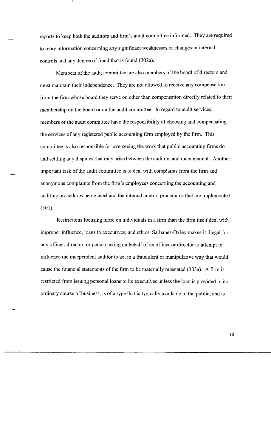reports to keep both the auditors and firm's audit committee informed. They are required to relay information concerning any significant weaknesses or changes in internal controls and any degree of fraud that is found (302a).

Members of the audit committee are also members of the board of directors and must maintain their independence. They are not allowed to receive any compensation from the firm whose board they serve on other than compensation directly related to their membership on the board or on the audit committee. In regard to audit services, members of the audit committee have the responsibility of choosing and compensating the services of any registered public accounting firm employed by the firm. This committee is also responsible for overseeing the work that public accounting firms do and settling any disputes that may arise between the auditors and management. Another important task of the audit committee is to deal with complaints from the firm and anonymous complaints from the firm's employees concerning the accounting and auditing procedures being used and the internal control procedures that are implemented (301).

Restrictions focusing more on individuals in a firm than the firm itself deal with improper influence, loans to executives, and ethics. Sarbanes-Oxley makes it illegal for any officer, director, or person acting on behalf of an officer or director to attempt to influence the independent auditor to act in a fraudulent or manipulative way that would cause the financial statements of the firm to be materially misstated (303a). A firm is restricted from issuing personal loans to its executives unless the loan is provided in its ordinary course of business, is of a type that is typically available to the public, and is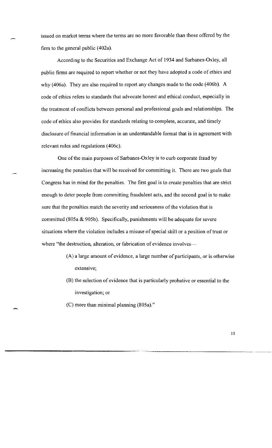issued on market terms where the terms are no more favorable than those offered by the firm to the general public (402a).

According to the Securities and Exchange Act of 1934 and Sarbanes-Oxley, all public firms are required to report whether or not they have adopted a code of ethics and why (406a). They are also required to report any changes made to the code (406b). A code of ethics refers to standards that advocate honest and ethical conduct, especially in the treatment of conflicts between personal and professional goals and relationships. The code of ethics also provides for standards relating to complete, accurate, and timely disclosure of financial information in an understandable format that is in agreement with relevant rules and regulations (406c).

One of the main purposes of Sarbanes-Oxley is to curb corporate fraud by increasing the penalties that will be received for committing it. There are two goals that Congress has in mind for the penalties. The first goal is to create penalties that are strict enough to deter people from committing fraudulent acts, and the second goal is to make sure that the penalties match the severity and seriousness of the violation that is committed (805a & 905b). Specifically, punishments will be adequate for severe situations where the violation includes a misuse of special skill or a position of trust or where "the destruction, alteration, or fabrication of evidence involves-

- (A) a large amount of evidence, a large number of participants, or is otherwise extensive;
- (B) the selection of evidence that is particularly probative or essential to the investigation; or
- (C) more than minimal planning (805a)."

--------------.... \_------\_.\_--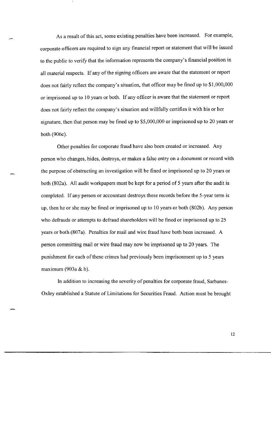As a result of this act, some existing penalties have been increased. For example, corporate officers are required to sign any financial report or statement that will be issued to the public to verify that the information represents the company's financial position in all material respects. **If** any of the signing officers are aware that the statement or report does not fairly reflect the company's situation, that officer may be fined up to \$1,000,000 or imprisoned up to 10 years or both. **If** any officer is aware that the statement or report does not fairly reflect the company's situation and willfully certifies it with his or her signature, then that person may be fined up to \$5,000,000 or imprisoned up to 20 years or both (906c).

Other penalties for corporate fraud have also been created or increased. Any person who changes, hides, destroys, or makes a false entry on a document or record with the purpose of obstructing an investigation will be fined or imprisoned up to 20 years or both (802a). All audit workpapers must be kept for a period of 5 years after the audit is completed. **If** any person or accountant destroys these records before the 5-year term is up, then he or she may be fined or imprisoned up to 10 years or both (802b). Any person who defrauds or attempts to defraud shareholders will be fined or imprisoned up to 25 years or both (807a). Penalties for mail and wire fraud have both been increased. A person committing mail or wire fraud may now be imprisoned up to 20 years. The punishment for each of these crimes had previously been imprisonment up to 5 years maximum (903a & b).

**In** addition to increasing the severity of penalties for corporate fraud, Sarbanes-Oxley established a Statute of Limitations for Securities Fraud. Action must be brought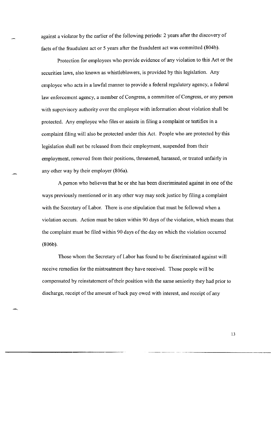against a violator by the earlier of the following periods: 2 years after the discovery of facts of the fraudulent act or 5 years after the fraudulent act was committed (804b).

Protection for employees who provide evidence of any violation to this Act or the securities laws, also known as whistleblowers, is provided by this legislation. Any employee who acts in a lawful manner to provide a federal regulatory agency, a federal law enforcement agency, a member of Congress, a committee of Congress, or any person with supervisory authority over the employee with information about violation shall be protected. Any employee who files or assists in filing a complaint or testifies in a complaint filing will also be protected under this Act. People who are protected by this legislation shall not be released from their employment, suspended from their employment, removed from their positions, threatened, harassed, or treated unfairly in any other way by their employer (806a).

A person who believes that he or she has been discriminated against in one of the ways previously mentioned or in any other way may seek justice by filing a complaint with the Secretary of Labor. There is one stipulation that must be followed when a violation occurs. Action must be taken within 90 days of the violation, which means that the complaint must be filed within 90 days of the day on which the violation occurred (806b).

Those whom the Secretary of Labor has found to be discriminated against will receive remedies for the mistreatment they have received. Those people will be compensated by reinstatement of their position with the same seniority they had prior to discharge, receipt of the amonnt of back pay owed with interest, and receipt of any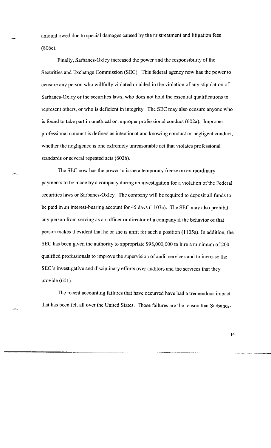amount owed due to special damages caused by the mistreatment and litigation fees (806c).

Finally, Sarbanes-Oxley increased the power and the responsibility of the Securities and Exchange Commission (SEC). This federal agency now has the power to censure any person who willfully violated or aided in the violation of any stipulation of Sarbanes-Oxley or the securities laws, who does not hold the essential qualifications to represent others, or who is deficient in integrity. The SEC may also censure anyone who is found to take part in unethical or improper professional conduct (602a). Improper professional conduct is defined as intentional and knowing conduct or negligent conduct, whether the negligence is one extremely unreasonable act that violates professional standards or several repeated acts (602b).

The SEC now has the power to issue a temporary freeze on extraordinary payments to be made by a company during an investigation for a violation of the Federal securities laws or Sarbanes-Oxley. The company will be required to deposit all funds to be paid in an interest-bearing account for 45 days (1103a). The SEC may also prohibit any person from serving as an officer or director of a company if the behavior of that person makes it evident that he or she is unfit for such a position (1105a). In addition, the SEC has been given the authority to appropriate \$98,000,000 to hire a minimum of 200 qualified professionals to improve the supervision of audit services and to increase the SEC's investigative and disciplinary efforts over auditors and the services that they provide (601).

The recent accounting failures that have occurred have had a tremendous impact that has been felt all over the United States. Those failures are the reason that Sarbanes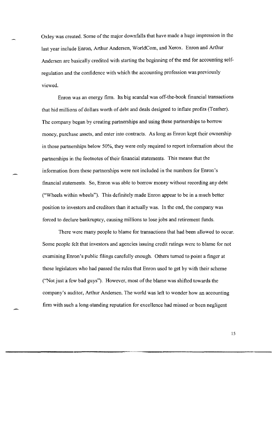Oxley was created. Some of the major downfalls that have made a huge impression in the last year include Enron, Arthur Andersen, WoridCom, and Xerox. Enron and Arthur Andersen are basically credited with starting the beginning of the end for accounting selfregulation and the confidence with which the accounting profession was previously viewed.

Enron was an energy firm. Its big scandal was off-the-book financial transactions that hid millions of dollars worth of debt and deals designed to inflate profits (Teather). The company began by creating partnerships and using these partnerships to borrow money, purchase assets, and enter into contracts. As long as Enron kept their ownership in those partnerships below 50%, they were only required to report information about the partnerships in the footnotes of their financial statements. This means that the information from these partnerships were not included in the numbers for Enron's financial statements. So, Enron was able to borrow money without recording any debt ("Wheels within wheels"). This definitely made Enron appear to be in a much better position to investors and creditors than it actually was. In the end, the company was forced to declare bankruptcy, causing millions to lose jobs and retirement funds.

There were many people to blame for transactions that had been allowed to occur. Some people felt that investors and agencies issuing credit ratings were to blame for not examining Enron's public filings carefully enough. Others turned to point a finger at those legislators who had passed the rules that Enron used to get by with their scheme ("Not just a few bad guys"). However, most of the blame was shifted towards the company's auditor, Arthur Andersen. The world was left to wonder how an accounting firm with such a long-standing reputation for excellence had missed or been negligent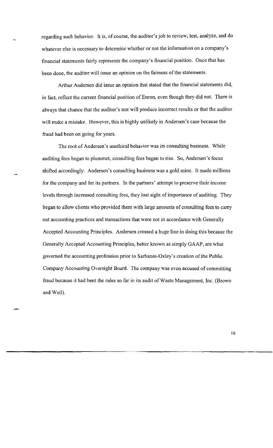regarding such behavior. It is, of course, the auditor's job to review, test, analyze, and do whatever else is necessary to determine whether or not the information on a company's financial statements fairly represents the company's financial position. Once that has been done, the auditor will issue an opinion on the fairness of the statements.

Arthur Andersen did issue an opinion that stated that the financial statements did, in fact, reflect the current financial position of Enron, even though they did not. There is always that chance that the auditor's test will produce incorrect results or that the auditor will make a mistake. However, this is highly unlikely in Andersen's case because the fraud had been on going for years.

The root of Andersen's unethical behavior was its consulting business. While auditing fees began to plummet, consulting fees began to rise. So, Andersen's focus shifted accordingly. Andersen's consulting business was a gold mine. It made millions for the company and for its partners. In the partners' attempt to preserve their income levels through increased consulting fees, they lost sight of importance of auditing. They began to allow clients who provided them with large amounts of consulting fees to carry out accounting practices and transactions that were not in accordance with Generally Accepted Accounting Principles. Andersen crossed a huge line in doing this because the Generally Accepted Accounting Principles, better known as simply GAAP, are what governed the accounting profession prior to Sarbanes-Oxley's creation of the Public Company Accounting Oversight Board. The company was even accused of committing fraud because it had bent the rules so far in its audit of Waste Management, Inc. (Brown and Weil).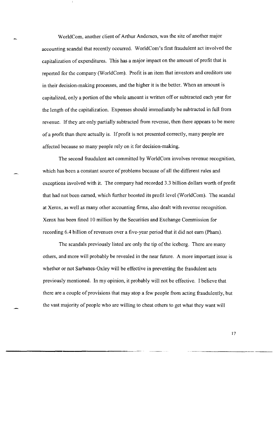WorldCom, another client of Arthur Andersen, was the site of another major accounting scandal that recently occurred. WoridCom's first fraudulent act involved the capitalization of expenditures. This has a major impact on the amount of profit that is reported for the company (WoridCom). Profit is an item that investors and creditors use in their decision-making processes, and the higher it is the better. When an amount is capitalized, only a portion of the whole amount is written off or subtracted each year for the length of the capitalization. Expenses should immediately be subtracted in fuil from revenue. If they are only partially subtracted from revenue, then there appears to be more of a profit than there actually is. If profit is not presented correctly, many people are affected because so many people rely on it for decision-making.

The second fraudulent act committed by WorldCom involves revenue recognition, which has been a constant source of problems because of all the different rules and exceptions involved with it. The company had recorded 3.3 billion dollars worth of profit that had not been earned, which further boosted its profit level (WoridCom). The scandal at Xerox, as well as many other accounting firms, also dealt with revenue recognition. Xerox has been fined 10 million by the Securities and Exchange Commission for recording 6.4 billion of revenues over a five-year period that it did not eam (Pham).

The scandals previously listed are only the tip of the iceberg. There are many others, and more will probably be revealed in the near future. A more important issue is whether or not Sarbanes-Oxley will be effective in preventing the fraudulent acts previously mentioned. In my opinion, it probably will not be effective. I believe that there are a couple of provisions that may stop a few people from acting fraudulently, but the vast majority of people who are willing to cheat others to get what they want will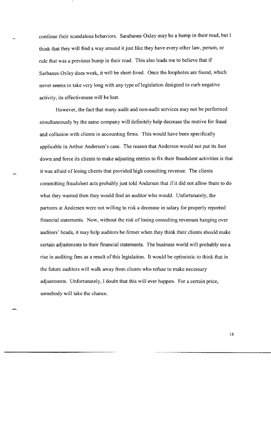continue their scandalous behaviors. Sarabanes-Oxley may be a bump in their road, but I think that they will find a way around it just like they have every other law, person, or rule that was a previous bump in their road. This also leads me to believe that if Sarbanes-Oxley does work, it will be short-lived. Once the loopholes are found, which never seems to take very long with any type of legislation designed to curb negative activity, its effectiveness will be lost.

However, the fact that many audit and non-audit services may not be performed simultaneously by the same company will definitely help decrease the motive for fraud and collusion with clients in accounting firms. This would have been specifically applicable in Arthur Andersen's case. The reason that Andersen would not put its foot down and force its clients to make adjusting entries to fix their fraudulent activities is that it was afraid of losing clients that provided high consulting revenue. The clients committing fraudulent acts probably just told Andersen that if it did not allow them to do what they wanted then they would find an auditor who would. Unfortunately, the partners at Andersen were not willing to risk a decrease in salary for properly reported financial statements. Now, without the risk of losing consulting revenues hanging over auditors' heads, it may help auditors be firmer when they think their clients should make certain adjustments to their financial statements. The business world will probably see a rise in auditing fees as a result of this legislation. It would be optimistic to think that in the future auditors will walk away from clients who refuse to make necessary adjustments. Unfortunately, I doubt that this will ever happen. For a certain price, somebody will take the chance.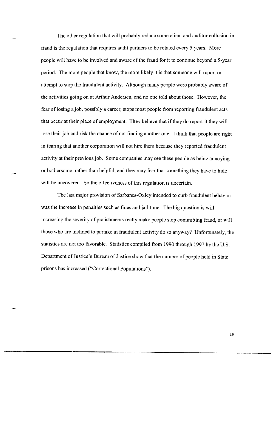The other regulation that will probably reduce some client and auditor collusion in fraud is the regulation that requires audit partners to be rotated every 5 years. More people will have to be involved and aware of the fraud for it to continue beyond a 5-year period. The more people that know, the more likely it is that someone will report or attempt to stop the fraudulent activity. Although many people were probably aware of the activities going on at Arthur Andersen, and no one told about those. However, the fear of losing a job, possibly a career, stops most people from reporting fraudulent acts that occur at their place of employment. They believe that if they do report it they will lose their job and risk the chance of not finding another one. I think that people are right in fearing that another corporation will not hire them because they reported fraudulent activity at their previous job. Some companies may see these people as being annoying or bothersome, rather than helpful, and they may fear that something they have to hide will be uncovered. So the effectiveness of this regulation is uncertain.

The last major provision of Sarbanes-Oxley intended to curb fraudulent behavior was the increase in penalties such as fines and jail time. The big question is will increasing the severity of punishments really make people stop committing fraud, or will those who are inclined to partake in fraudulent activity do so anyway? Unfortunately, the statistics are not too favorable. Statistics compiled from 1990 through 1997 by the U.S. Department of Justice's Bureau of Justice show that the number of people held in State prisons has increased ("Correctional Populations").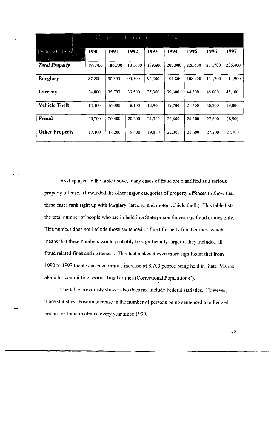| Number of Inmates in State Prison             |         |         |         |         |         |         |         |         |  |  |  |  |
|-----------------------------------------------|---------|---------|---------|---------|---------|---------|---------|---------|--|--|--|--|
| Scriaus Offense<br>$\mathbb{P}^1(\mathbb{R})$ | 1990    | 1991    | 1992    | 1993    | 1994    | 1995    | 1996    | 1997    |  |  |  |  |
| <b>Total Property</b>                         | 173,700 | 180,700 | 181.600 | 189,600 | 207,000 | 226,600 | 231,700 | 236,400 |  |  |  |  |
| <b>Burglary</b>                               | 87,200  | 90,300  | 90,500  | 94,300  | 101,800 | 108,900 | 111,700 | 114,900 |  |  |  |  |
| Larceny                                       | 34,800  | 35,700  | 33,500  | 35,300  | 39,600  | 44,500  | 45,000  | 45,100  |  |  |  |  |
| <b>Vehicle Theft</b>                          | 14,400  | 16,000  | 18,100  | 18,900  | 19,700  | 21.300  | 20,200  | 19,800  |  |  |  |  |
| <b>Fraud</b>                                  | 20,200  | 20,400  | 20,200  | 21,300  | 23,600  | 26,300  | 27,600  | 28,900  |  |  |  |  |
| <b>Other Property</b>                         | 17,100  | 18,200  | 19,400  | 19,800  | 22,300  | 25,600  | 27,200  | 27,700  |  |  |  |  |

As displayed in the table above, many cases of fraud are classified as a serious property offense. (I included the other major categories of property offenses to show that these cases rank right up with burglary, larceny, and motor vehicle theft.) This table lists the total number of people who are in held in a State prison for serious fraud crimes only. This number does not include those sentenced or fined for petty fraud crimes, which means that these numbers would probably be significantly larger if they included all fraud related fines and sentences. This fact makes it even more significant that from 1990 to 1997 there was an enormous increase of 8,700 people being held in State Prisons alone for committing serious fraud crimes (Correctional Populations").

The table previously shown also does not include Federal statistics. However, those statistics show an increase in the number of persons being sentenced to a Federal prison for fraud in almost every year since 1990.

-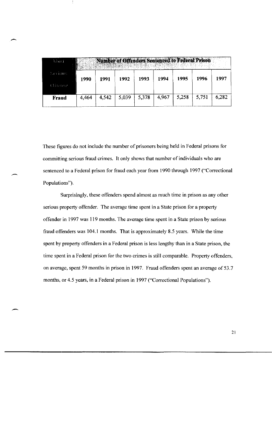| Niasí              |       |       |       |       | Number of Offenders Sentenced to Federal Prison |       |       |       |
|--------------------|-------|-------|-------|-------|-------------------------------------------------|-------|-------|-------|
| Serious<br>Oitense | 1990  | 1991  | 1992  | 1993  | 1994                                            | 1995  | 1996  | 1997  |
| <b>Fraud</b>       | 4,464 | 4,542 | 5,039 | 5,378 | 4.967                                           | 5,258 | 5,751 | 6.282 |

These figures do not include the number of prisoners being held in Federal prisons for committing serious fraud crimes. It only shows that number of individuals who are sentenced to a Federal prison for fraud each year from 1990 through 1997 ("Correctional Populations").

Surprisingly, these offenders spend almost as much time in prison as any other serious property offender. The average time spent in a State prison for a property offender in 1997 was 119 months. The average time spent in a State prison by serious fraud offenders was 104.1 months. That is approximately 8.5 years. While the time spent by property offenders in a Federal prison is less lengthy than in a State prison, the time spent in a Federal prison for the two crimes is still comparable. Property offenders, on average, spent 59 months in prison in 1997. Fraud offenders spent an average of 53.7 months, or 4.5 years, in a Federal prison in 1997 ("Correctional Populations").

 $\overline{\phantom{0}}$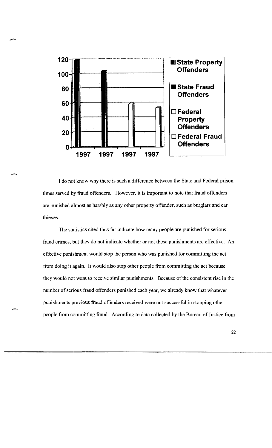

 $\overline{\phantom{a}}$ 

 $\overline{\phantom{0}}$ 

-

I do not know why there is such a difference between the State and Federal prison times served by fraud offenders. However, it is important to note that fraud offenders are punished almost as harshly as any other property offender, such as burglars and car thieves.

The statistics cited thus far indicate how many people are punished for serious fraud crimes, but they do not indicate whether or not these punishments are effective. An effective punishment would stop the person who was punished for committing the act from doing it again. It would also stop other people from committing the act because they would not want to receive similar punishments. Because of the consistent rise in the number of serious fraud offenders punished each year, we already know that whatever punishments previous fraud offenders received were not successful in stopping other people from committing fraud. According to data collected by the Bureau of Justice from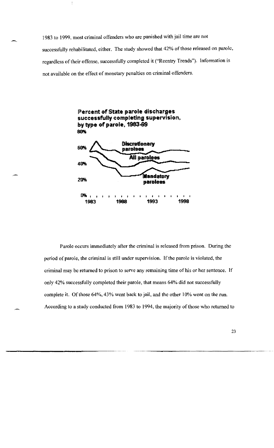1983 to 1999, most criminal offenders who are punished with jail time are not successfully rehabilitated, either. The study showed that 42% of those released on parole, regardless of their offense, successfully completed it ("Reentry Trends"). Information is not available on the effect of monetary penalties on criminal offenders.



Parole occurs immediately after the criminal is released from prison. During the period of parole, the criminal is still under supervision. If the parole is violated, the criminal may be returned to prison to serve any remaining time of his or her sentence. If only 42% successfully completed their parole, that means 64% did not successfully complete it. Of those 64%, 43% went back to jail, and the other 10% went on the run. According to a study conducted from 1983 to 1994, the majority of those who returned to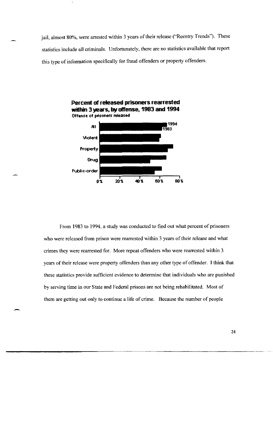jail, almost 80%, were arrested within 3 years of their release ("Reentry Trends"). These statistics include all criminals. Unfortunately, there are no statistics available that report this type of information specifically for fraud offenders or property offenders.



From 1983 to 1994. a study was conducted to find out what percent of prisoners who were released from prison were rearrested within 3 years of their release and what crimes they were rearrested for. More repeat offenders who were rearrested within 3 years of their release were property offenders than any other type of offender. I think that these statistics provide sufficient evidence to determine that individuals who are punished by serving time in our State and Federal prisons are not being rehabilitated. Most of them are getting out only to continue a life of crime. Because the number of people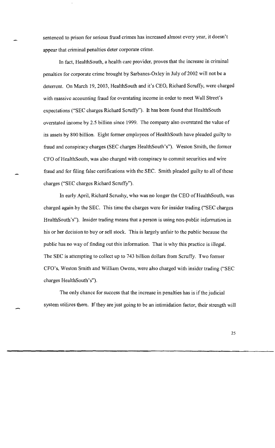sentenced to prison for serious fraud crimes has increased almost every year, it doesn't appear that criminal penalties deter corporate crime.

In fact, HealthSouth, a health care provider, proves that the increase in criminal penalties for corporate crime brought by Sarbanes-Oxley in July of 2002 will not be a deterrent. On March 19,2003, HealthSouth and it's CEO, Richard Scruffy, were charged with massive accounting fraud for overstating income in order to meet Wall Street's expectations ("SEC charges Richard Scruffy"). It has been found that HealthSouth overstated income by 2.5 billion since 1999. The company also overstated the value of its assets by 800 billion. Eight former employees of HealthSouth have pleaded guilty to fraud and conspiracy charges (SEC charges HealthSouth's"). Weston Smith, the former CFO of HealthSouth, was also charged with conspiracy to commit securities and wire fraud and for filing false certifications with the SEC. Smith pleaded guilty to all of these charges ("SEC charges Richard Scruffy").

In early April, Richard Scrushy, who was no longer the CEO of Health South, was charged again by the SEC. This time the charges were for insider trading ("SEC charges HealthSouth's"). Insider trading means that a person is using non-public information in his or her decision to buy or sell stock. This is largely unfair to the public because the public has no way of finding out this information. That is why this practice is illegal. The SEC is attempting to collect up to 743 billion dollars from Scruffy. Two former CFO's, Weston Smith and William Owens, were also charged with insider trading ("SEC charges HealthSouth's").

The only chance for success that the increase in penalties has is if the judicial system utilizes them. If they are just going to be an intimidation factor, their strength will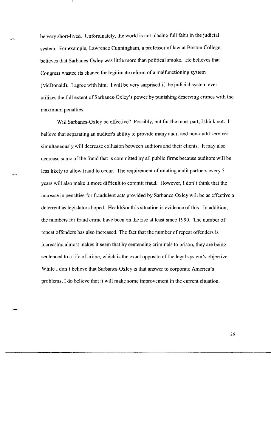be very short-lived. Unfortunately, the world is not placing full faith in the judicial system. For example, Lawrence Cunningham, a professor of law at Boston College, believes that Sarbanes-Oxley was little more than political smoke. He believes that Congress wasted its chance for legitimate reform of a malfunctioning system (McDonald). I agree with him. I will be very surprised if the judicial system ever utilizes the full extent of Sarbanes-Oxley' s power by punishing deserving crimes with the maximum penalties.

Will Sarbanes-Oxley be effective? Possibly, but for the most part, I think not. I believe that separating an auditor's ability to provide many audit and non-audit services simultaneously will decrease collusion between auditors and their clients. It may also decrease some of the fraud that is committed by all public firms because auditors will be less likely to allow fraud to occur. The requirement of rotating audit partners every 5 years will also make it more difficult to commit fraud. However, I don't think that the increase in penalties for fraudulent acts provided by Sarbanes-Oxley will be as effective a deterrent as legislators hoped. HealthSouth's situation is evidence of this. In addition, the numbers for fraud crime have been on the rise at least since 1990. The number of repeat offenders has also increased. The fact that the number of repeat offenders is increasing almost makes it seem that by sentencing criminals to prison, they are being sentenced to a life of crime, which is the exact opposite of the legal system's objective. While I don't believe that Sarbanes-Oxley is that answer to corporate America's problems, I do believe that it will make some improvement in the current situation.